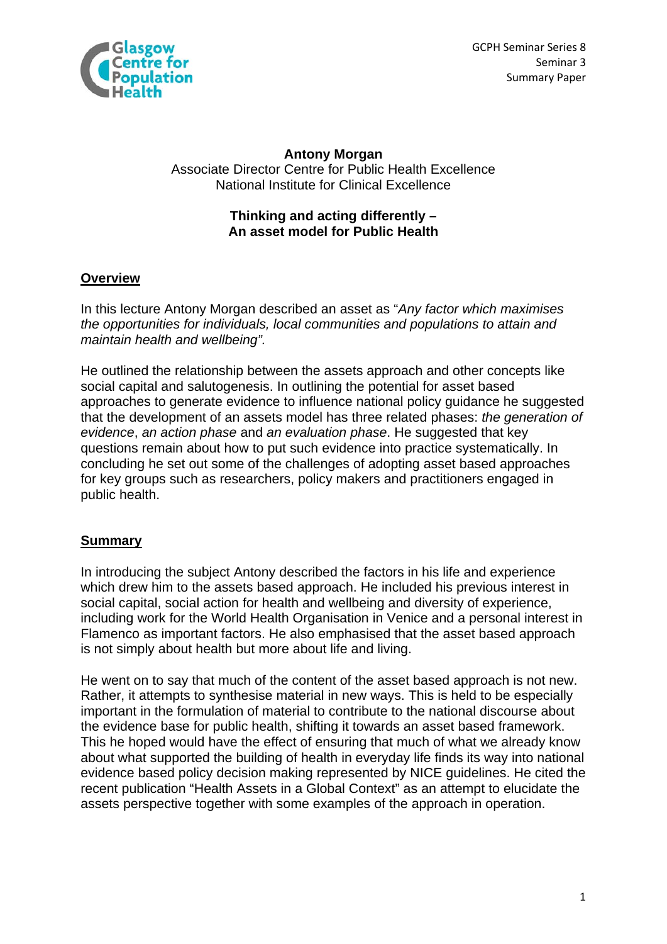

GCPH Seminar Series 8 **Example 18 Seminar 3** Seminar 3 Summary Paper

### **Antony Morgan**  Associate Director Centre for Public Health Excellence National Institute for Clinical Excellence

### **Thinking and acting differently – An asset model for Public Health**

# **Overview**

In this lecture Antony Morgan described an asset as "*Any factor which maximises the opportunities for individuals, local communities and populations to attain and maintain health and wellbeing".*

He outlined the relationship between the assets approach and other concepts like social capital and salutogenesis. In outlining the potential for asset based approaches to generate evidence to influence national policy guidance he suggested that the development of an assets model has three related phases: *the generation of evidence*, *an action phase* and *an evaluation phase*. He suggested that key questions remain about how to put such evidence into practice systematically. In concluding he set out some of the challenges of adopting asset based approaches for key groups such as researchers, policy makers and practitioners engaged in public health.

# **Summary**

In introducing the subject Antony described the factors in his life and experience which drew him to the assets based approach. He included his previous interest in social capital, social action for health and wellbeing and diversity of experience, including work for the World Health Organisation in Venice and a personal interest in Flamenco as important factors. He also emphasised that the asset based approach is not simply about health but more about life and living.

He went on to say that much of the content of the asset based approach is not new. Rather, it attempts to synthesise material in new ways. This is held to be especially important in the formulation of material to contribute to the national discourse about the evidence base for public health, shifting it towards an asset based framework. This he hoped would have the effect of ensuring that much of what we already know about what supported the building of health in everyday life finds its way into national evidence based policy decision making represented by NICE guidelines. He cited the recent publication "Health Assets in a Global Context" as an attempt to elucidate the assets perspective together with some examples of the approach in operation.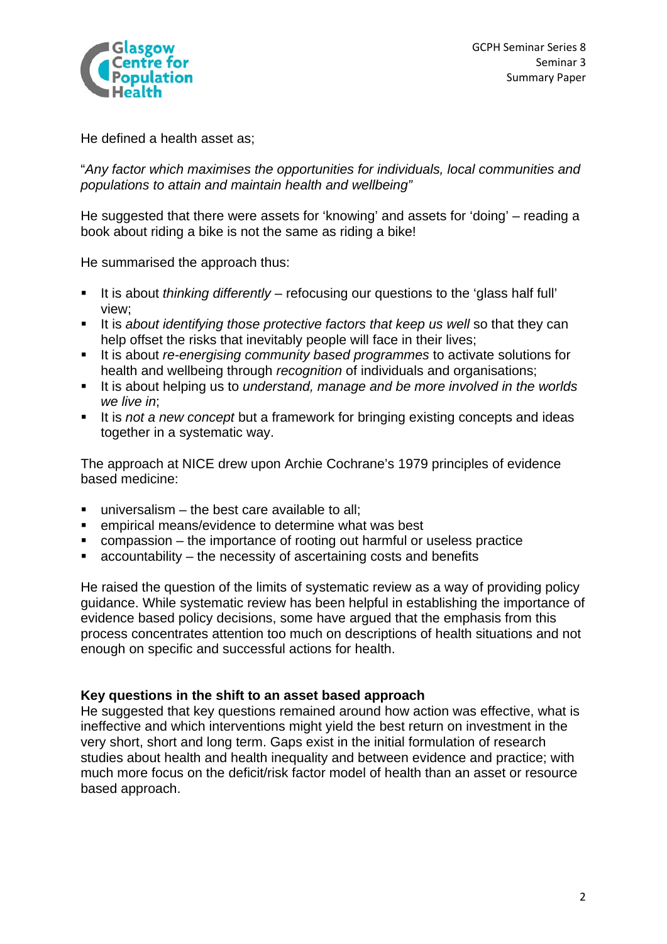

He defined a health asset as;

"*Any factor which maximises the opportunities for individuals, local communities and populations to attain and maintain health and wellbeing"* 

He suggested that there were assets for 'knowing' and assets for 'doing' – reading a book about riding a bike is not the same as riding a bike!

He summarised the approach thus:

- It is about *thinking differently* refocusing our questions to the 'glass half full' view;
- It is *about identifying those protective factors that keep us well* so that they can help offset the risks that inevitably people will face in their lives;
- It is about *re-energising community based programmes* to activate solutions for health and wellbeing through *recognition* of individuals and organisations;
- It is about helping us to *understand, manage and be more involved in the worlds we live in*;
- It is *not a new concept* but a framework for bringing existing concepts and ideas together in a systematic way.

The approach at NICE drew upon Archie Cochrane's 1979 principles of evidence based medicine:

- universalism the best care available to all;
- empirical means/evidence to determine what was best
- compassion the importance of rooting out harmful or useless practice
- $\blacksquare$  accountability the necessity of ascertaining costs and benefits

He raised the question of the limits of systematic review as a way of providing policy guidance. While systematic review has been helpful in establishing the importance of evidence based policy decisions, some have argued that the emphasis from this process concentrates attention too much on descriptions of health situations and not enough on specific and successful actions for health.

# **Key questions in the shift to an asset based approach**

He suggested that key questions remained around how action was effective, what is ineffective and which interventions might yield the best return on investment in the very short, short and long term. Gaps exist in the initial formulation of research studies about health and health inequality and between evidence and practice; with much more focus on the deficit/risk factor model of health than an asset or resource based approach.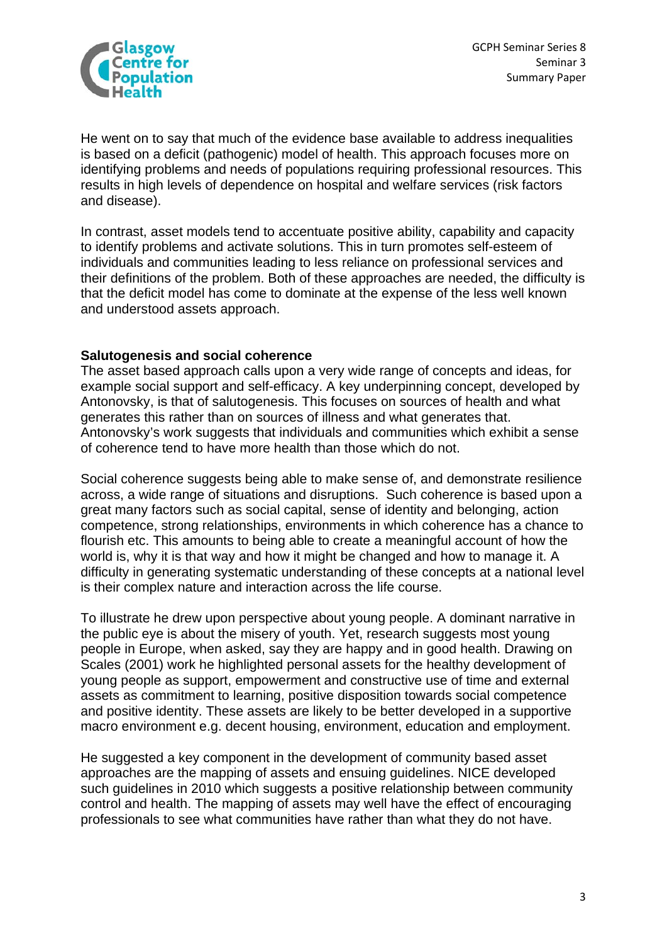

He went on to say that much of the evidence base available to address inequalities is based on a deficit (pathogenic) model of health. This approach focuses more on identifying problems and needs of populations requiring professional resources. This results in high levels of dependence on hospital and welfare services (risk factors and disease).

In contrast, asset models tend to accentuate positive ability, capability and capacity to identify problems and activate solutions. This in turn promotes self-esteem of individuals and communities leading to less reliance on professional services and their definitions of the problem. Both of these approaches are needed, the difficulty is that the deficit model has come to dominate at the expense of the less well known and understood assets approach.

#### **Salutogenesis and social coherence**

The asset based approach calls upon a very wide range of concepts and ideas, for example social support and self-efficacy. A key underpinning concept, developed by Antonovsky, is that of salutogenesis. This focuses on sources of health and what generates this rather than on sources of illness and what generates that. Antonovsky's work suggests that individuals and communities which exhibit a sense of coherence tend to have more health than those which do not.

Social coherence suggests being able to make sense of, and demonstrate resilience across, a wide range of situations and disruptions. Such coherence is based upon a great many factors such as social capital, sense of identity and belonging, action competence, strong relationships, environments in which coherence has a chance to flourish etc. This amounts to being able to create a meaningful account of how the world is, why it is that way and how it might be changed and how to manage it. A difficulty in generating systematic understanding of these concepts at a national level is their complex nature and interaction across the life course.

To illustrate he drew upon perspective about young people. A dominant narrative in the public eve is about the misery of youth. Yet, research suggests most young people in Europe, when asked, say they are happy and in good health. Drawing on Scales (2001) work he highlighted personal assets for the healthy development of young people as support, empowerment and constructive use of time and external assets as commitment to learning, positive disposition towards social competence and positive identity. These assets are likely to be better developed in a supportive macro environment e.g. decent housing, environment, education and employment.

He suggested a key component in the development of community based asset approaches are the mapping of assets and ensuing guidelines. NICE developed such guidelines in 2010 which suggests a positive relationship between community control and health. The mapping of assets may well have the effect of encouraging professionals to see what communities have rather than what they do not have.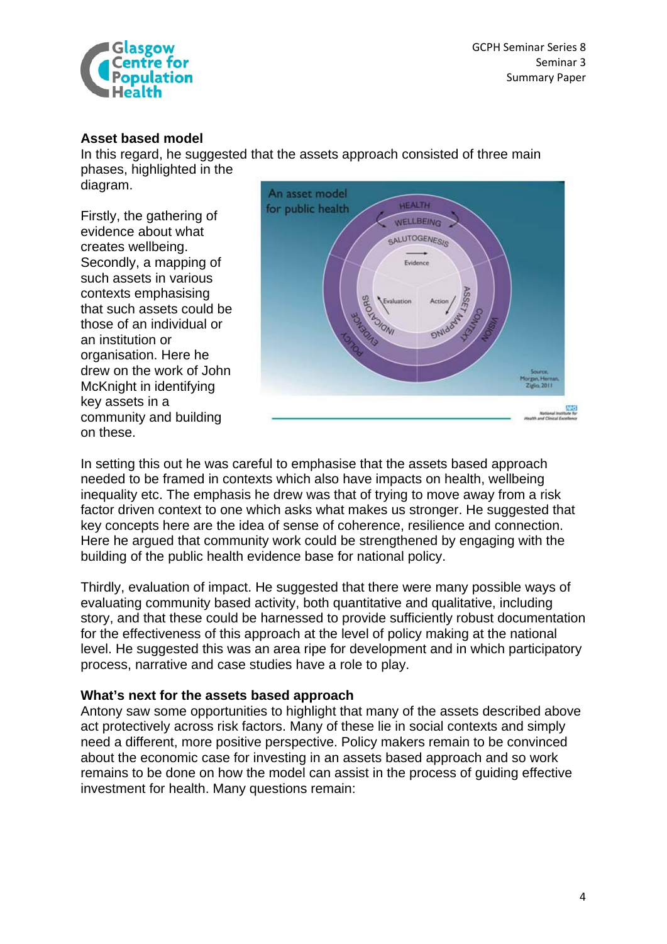

#### **Asset based model**

In this regard, he suggested that the assets approach consisted of three main phases, highlighted in the

diagram.

Firstly, the gathering of evidence about what creates wellbeing. Secondly, a mapping of such assets in various contexts emphasising that such assets could be those of an individual or an institution or organisation. Here he drew on the work of John McKnight in identifying key assets in a community and building on these.



In setting this out he was careful to emphasise that the assets based approach needed to be framed in contexts which also have impacts on health, wellbeing inequality etc. The emphasis he drew was that of trying to move away from a risk factor driven context to one which asks what makes us stronger. He suggested that key concepts here are the idea of sense of coherence, resilience and connection. Here he argued that community work could be strengthened by engaging with the building of the public health evidence base for national policy.

Thirdly, evaluation of impact. He suggested that there were many possible ways of evaluating community based activity, both quantitative and qualitative, including story, and that these could be harnessed to provide sufficiently robust documentation for the effectiveness of this approach at the level of policy making at the national level. He suggested this was an area ripe for development and in which participatory process, narrative and case studies have a role to play.

#### **What's next for the assets based approach**

Antony saw some opportunities to highlight that many of the assets described above act protectively across risk factors. Many of these lie in social contexts and simply need a different, more positive perspective. Policy makers remain to be convinced about the economic case for investing in an assets based approach and so work remains to be done on how the model can assist in the process of guiding effective investment for health. Many questions remain: